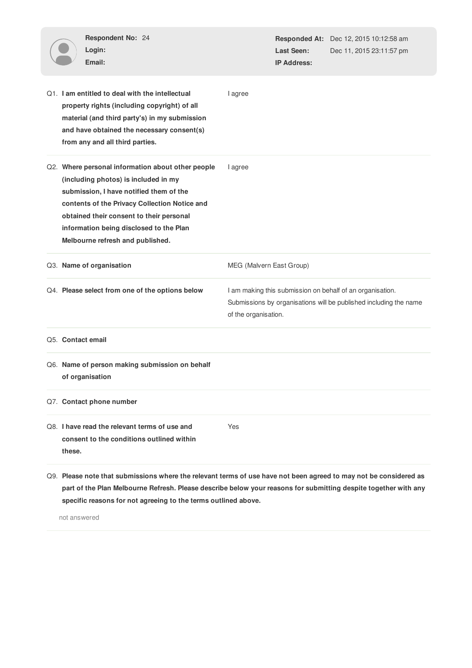| Respondent No: 24<br>Login:<br>Email:                                                                                                                                                                                                                                                                            |                          | Last Seen:<br><b>IP Address:</b> | <b>Responded At:</b> Dec 12, 2015 10:12:58 am<br>Dec 11, 2015 23:11:57 pm                                                      |
|------------------------------------------------------------------------------------------------------------------------------------------------------------------------------------------------------------------------------------------------------------------------------------------------------------------|--------------------------|----------------------------------|--------------------------------------------------------------------------------------------------------------------------------|
| Q1. I am entitled to deal with the intellectual<br>property rights (including copyright) of all<br>material (and third party's) in my submission<br>and have obtained the necessary consent(s)<br>from any and all third parties.                                                                                | I agree                  |                                  |                                                                                                                                |
| Q2. Where personal information about other people<br>(including photos) is included in my<br>submission, I have notified them of the<br>contents of the Privacy Collection Notice and<br>obtained their consent to their personal<br>information being disclosed to the Plan<br>Melbourne refresh and published. | I agree                  |                                  |                                                                                                                                |
| Q3. Name of organisation                                                                                                                                                                                                                                                                                         | MEG (Malvern East Group) |                                  |                                                                                                                                |
|                                                                                                                                                                                                                                                                                                                  |                          |                                  |                                                                                                                                |
| Q4. Please select from one of the options below                                                                                                                                                                                                                                                                  | of the organisation.     |                                  | I am making this submission on behalf of an organisation.<br>Submissions by organisations will be published including the name |
| Q5. Contact email                                                                                                                                                                                                                                                                                                |                          |                                  |                                                                                                                                |
| Q6. Name of person making submission on behalf<br>of organisation                                                                                                                                                                                                                                                |                          |                                  |                                                                                                                                |
| Q7. Contact phone number                                                                                                                                                                                                                                                                                         |                          |                                  |                                                                                                                                |
| Q8. I have read the relevant terms of use and<br>consent to the conditions outlined within<br>these.                                                                                                                                                                                                             | Yes                      |                                  |                                                                                                                                |

**part of the Plan Melbourne Refresh. Please describe below your reasons for submitting despite together with any specific reasons for not agreeing to the terms outlined above.**

not answered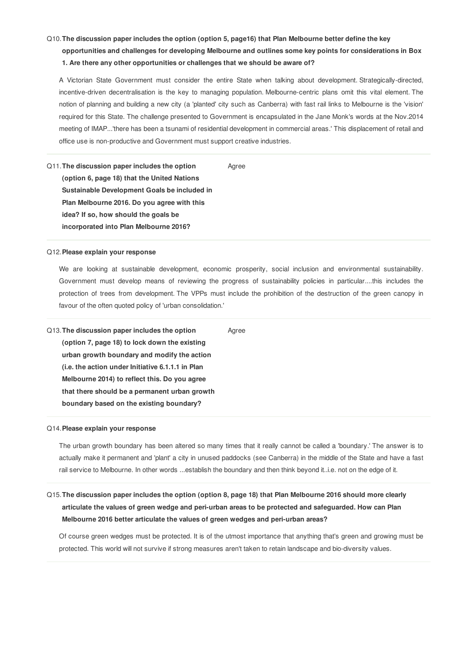## Q10.**The discussion paper includes the option (option 5, page16) that Plan Melbourne better define the key**

**opportunities and challenges for developing Melbourne and outlines some key points for considerations in Box 1. Are there any other opportunities or challenges that we should be aware of?**

A Victorian State Government must consider the entire State when talking about development. Strategically-directed, incentive-driven decentralisation is the key to managing population. Melbourne-centric plans omit this vital element. The notion of planning and building a new city (a 'planted' city such as Canberra) with fast rail links to Melbourne is the 'vision' required for this State. The challenge presented to Government is encapsulated in the Jane Monk's words at the Nov.2014 meeting of IMAP...'there has been a tsunami of residential development in commercial areas.' This displacement of retail and office use is non-productive and Government must support creative industries.

#### Agree

Q11.**The discussion paper includes the option (option 6, page 18) that the United Nations Sustainable Development Goals be included in Plan Melbourne 2016. Do you agree with this idea? If so, how should the goals be incorporated into Plan Melbourne 2016?**

## Q12.**Please explain your response**

We are looking at sustainable development, economic prosperity, social inclusion and environmental sustainability. Government must develop means of reviewing the progress of sustainability policies in particular....this includes the protection of trees from development. The VPPs must include the prohibition of the destruction of the green canopy in favour of the often quoted policy of 'urban consolidation.'

Q13.**The discussion paper includes the option (option 7, page 18) to lock down the existing urban growth boundary and modify the action (i.e. the action under Initiative 6.1.1.1 in Plan** Agree

**Melbourne 2014) to reflect this. Do you agree that there should be a permanent urban growth boundary based on the existing boundary?**

## Q14.**Please explain your response**

The urban growth boundary has been altered so many times that it really cannot be called a 'boundary.' The answer is to actually make it permanent and 'plant' a city in unused paddocks (see Canberra) in the middle of the State and have a fast rail service to Melbourne. In other words ...establish the boundary and then think beyond it..i.e. not on the edge of it.

Q15. The discussion paper includes the option (option 8, page 18) that Plan Melbourne 2016 should more clearly **articulate the values of green wedge and peri-urban areas to be protected and safeguarded. How can Plan Melbourne 2016 better articulate the values of green wedges and peri-urban areas?**

Of course green wedges must be protected. It is of the utmost importance that anything that's green and growing must be protected. This world will not survive if strong measures aren't taken to retain landscape and bio-diversity values.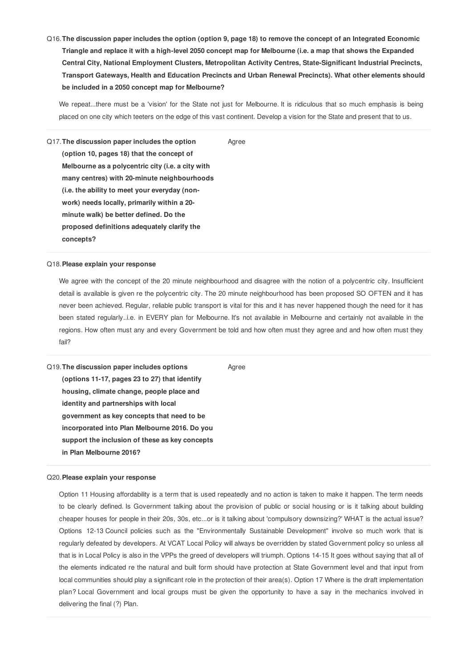Q16. The discussion paper includes the option (option 9, page 18) to remove the concept of an Integrated Economic Triangle and replace it with a high-level 2050 concept map for Melbourne (i.e. a map that shows the Expanded **Central City, National Employment Clusters, Metropolitan Activity Centres, State-Significant Industrial Precincts, Transport Gateways, Health and Education Precincts and Urban Renewal Precincts). What other elements should be included in a 2050 concept map for Melbourne?**

We repeat...there must be a 'vision' for the State not just for Melbourne. It is ridiculous that so much emphasis is being placed on one city which teeters on the edge of this vast continent. Develop a vision for the State and present that to us.

Agree

Q17.**The discussion paper includes the option (option 10, pages 18) that the concept of Melbourne as a polycentric city (i.e. a city with many centres) with 20-minute neighbourhoods (i.e. the ability to meet your everyday (nonwork) needs locally, primarily within a 20 minute walk) be better defined. Do the proposed definitions adequately clarify the concepts?**

## Q18.**Please explain your response**

We agree with the concept of the 20 minute neighbourhood and disagree with the notion of a polycentric city. Insufficient detail is available is given re the polycentric city. The 20 minute neighbourhood has been proposed SO OFTEN and it has never been achieved. Regular, reliable public transport is vital for this and it has never happened though the need for it has been stated regularly..i.e. in EVERY plan for Melbourne. It's not available in Melbourne and certainly not available in the regions. How often must any and every Government be told and how often must they agree and and how often must they fail?

Q19.**The discussion paper includes options (options 11-17, pages 23 to 27) that identify housing, climate change, people place and identity and partnerships with local government as key concepts that need to be incorporated into Plan Melbourne 2016. Do you support the inclusion of these as key concepts in Plan Melbourne 2016?** Agree

#### Q20.**Please explain your response**

Option 11 Housing affordability is a term that is used repeatedly and no action is taken to make it happen. The term needs to be clearly defined. Is Government talking about the provision of public or social housing or is it talking about building cheaper houses for people in their 20s, 30s, etc...or is it talking about 'compulsory downsizing?' WHAT is the actual issue? Options 12-13 Council policies such as the "Environmentally Sustainable Development" involve so much work that is regularly defeated by developers. At VCAT Local Policy will always be overridden by stated Government policy so unless all that is in Local Policy is also in the VPPs the greed of developers will triumph. Options 14-15 It goes without saying that all of the elements indicated re the natural and built form should have protection at State Government level and that input from local communities should play a significant role in the protection of their area(s). Option 17 Where is the draft implementation plan? Local Government and local groups must be given the opportunity to have a say in the mechanics involved in delivering the final (?) Plan.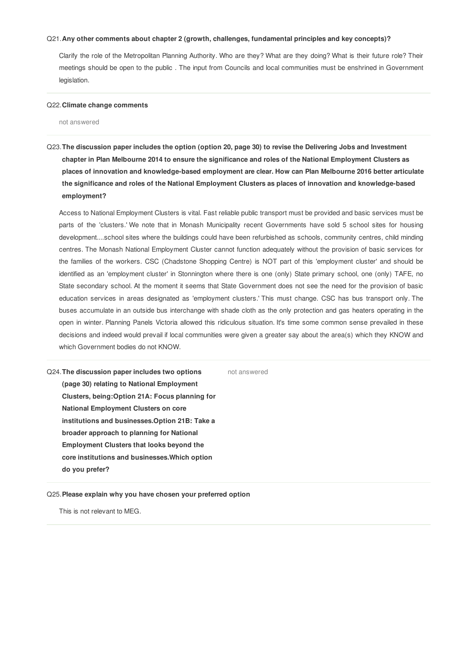#### Q21.**Any other comments about chapter 2 (growth, challenges, fundamental principles and key concepts)?**

Clarify the role of the Metropolitan Planning Authority. Who are they? What are they doing? What is their future role? Their meetings should be open to the public . The input from Councils and local communities must be enshrined in Government legislation.

#### Q22.**Climate change comments**

not answered

Q23. The discussion paper includes the option (option 20, page 30) to revise the Delivering Jobs and Investment chapter in Plan Melbourne 2014 to ensure the significance and roles of the National Employment Clusters as **places of innovation and knowledge-based employment are clear. How can Plan Melbourne 2016 better articulate the significance and roles of the National Employment Clusters as places of innovation and knowledge-based employment?**

Access to National Employment Clusters is vital. Fast reliable public transport must be provided and basic services must be parts of the 'clusters.' We note that in Monash Municipality recent Governments have sold 5 school sites for housing development....school sites where the buildings could have been refurbished as schools, community centres, child minding centres. The Monash National Employment Cluster cannot function adequately without the provision of basic services for the families of the workers. CSC (Chadstone Shopping Centre) is NOT part of this 'employment cluster' and should be identified as an 'employment cluster' in Stonnington where there is one (only) State primary school, one (only) TAFE, no State secondary school. At the moment it seems that State Government does not see the need for the provision of basic education services in areas designated as 'employment clusters.' This must change. CSC has bus transport only. The buses accumulate in an outside bus interchange with shade cloth as the only protection and gas heaters operating in the open in winter. Planning Panels Victoria allowed this ridiculous situation. It's time some common sense prevailed in these decisions and indeed would prevail if local communities were given a greater say about the area(s) which they KNOW and which Government bodies do not KNOW.

Q24.**The discussion paper includes two options (page 30) relating to National Employment Clusters, being:Option 21A: Focus planning for National Employment Clusters on core institutions and businesses.Option 21B: Take a broader approach to planning for National Employment Clusters that looks beyond the core institutions and businesses.Which option do you prefer?** not answered

Q25.**Please explain why you have chosen your preferred option**

This is not relevant to MEG.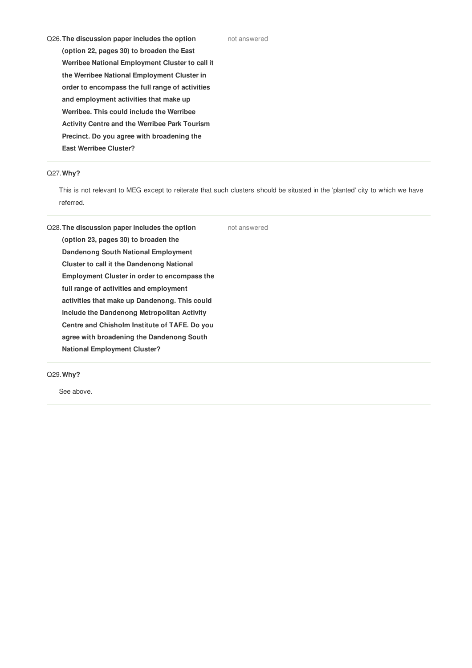Q26.**The discussion paper includes the option (option 22, pages 30) to broaden the East Werribee National Employment Cluster to call it the Werribee National Employment Cluster in order to encompass the full range of activities and employment activities that make up Werribee. This could include the Werribee Activity Centre and the Werribee Park Tourism Precinct. Do you agree with broadening the East Werribee Cluster?**

## Q27.**Why?**

This is not relevant to MEG except to reiterate that such clusters should be situated in the 'planted' city to which we have referred.

not answered

Q28.**The discussion paper includes the option (option 23, pages 30) to broaden the Dandenong South National Employment Cluster to call it the Dandenong National Employment Cluster in order to encompass the full range of activities and employment activities that make up Dandenong. This could include the Dandenong Metropolitan Activity Centre and Chisholm Institute of TAFE. Do you agree with broadening the Dandenong South National Employment Cluster?**

Q29.**Why?**

See above.

not answered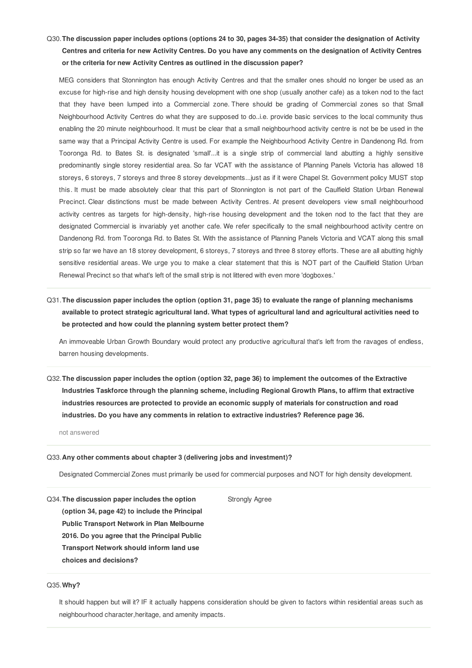# Q30. The discussion paper includes options (options 24 to 30, pages 34-35) that consider the designation of Activity Centres and criteria for new Activity Centres. Do you have any comments on the designation of Activity Centres **or the criteria for new Activity Centres as outlined in the discussion paper?**

MEG considers that Stonnington has enough Activity Centres and that the smaller ones should no longer be used as an excuse for high-rise and high density housing development with one shop (usually another cafe) as a token nod to the fact that they have been lumped into a Commercial zone. There should be grading of Commercial zones so that Small Neighbourhood Activity Centres do what they are supposed to do..i.e. provide basic services to the local community thus enabling the 20 minute neighbourhood. It must be clear that a small neighbourhood activity centre is not be be used in the same way that a Principal Activity Centre is used. For example the Neighbourhood Activity Centre in Dandenong Rd. from Tooronga Rd. to Bates St. is designated 'small'...it is a single strip of commercial land abutting a highly sensitive predominantly single storey residential area. So far VCAT with the assistance of Planning Panels Victoria has allowed 18 storeys, 6 storeys, 7 storeys and three 8 storey developments...just as if it were Chapel St. Government policy MUST stop this. It must be made absolutely clear that this part of Stonnington is not part of the Caulfield Station Urban Renewal Precinct. Clear distinctions must be made between Activity Centres. At present developers view small neighbourhood activity centres as targets for high-density, high-rise housing development and the token nod to the fact that they are designated Commercial is invariably yet another cafe. We refer specifically to the small neighbourhood activity centre on Dandenong Rd. from Tooronga Rd. to Bates St. With the assistance of Planning Panels Victoria and VCAT along this small strip so far we have an 18 storey development, 6 storeys, 7 storeys and three 8 storey efforts. These are all abutting highly sensitive residential areas. We urge you to make a clear statement that this is NOT part of the Caulfield Station Urban Renewal Precinct so that what's left of the small strip is not littered with even more 'dogboxes.'

# Q31. The discussion paper includes the option (option 31, page 35) to evaluate the range of planning mechanisms available to protect strategic agricultural land. What types of agricultural land and agricultural activities need to **be protected and how could the planning system better protect them?**

An immoveable Urban Growth Boundary would protect any productive agricultural that's left from the ravages of endless, barren housing developments.

Q32. The discussion paper includes the option (option 32, page 36) to implement the outcomes of the Extractive **Industries Taskforce through the planning scheme, including Regional Growth Plans, to affirm that extractive industries resources are protected to provide an economic supply of materials for construction and road industries. Do you have any comments in relation to extractive industries? Reference page 36.**

not answered

#### Q33.**Any other comments about chapter 3 (delivering jobs and investment)?**

Designated Commercial Zones must primarily be used for commercial purposes and NOT for high density development.

Strongly Agree

Q34.**The discussion paper includes the option (option 34, page 42) to include the Principal Public Transport Network in Plan Melbourne 2016. Do you agree that the Principal Public Transport Network should inform land use choices and decisions?**

#### Q35.**Why?**

It should happen but will it? IF it actually happens consideration should be given to factors within residential areas such as neighbourhood character,heritage, and amenity impacts.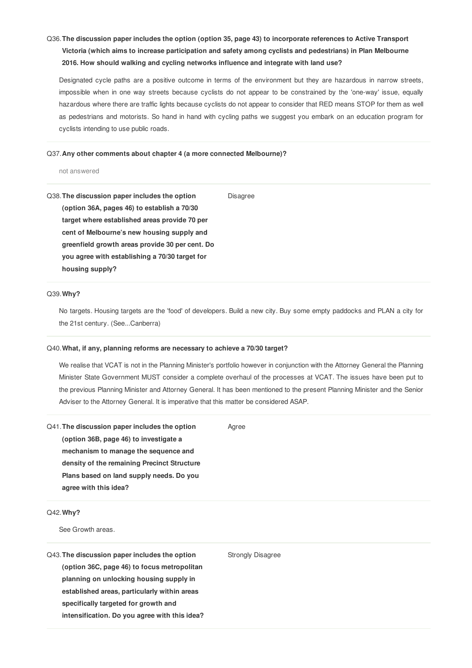# Q36.**The discussion paper includes the option (option 35, page 43) to incorporate references to Active Transport Victoria (which aims to increase participation and safety among cyclists and pedestrians) in Plan Melbourne 2016. How should walking and cycling networks influence and integrate with land use?**

Designated cycle paths are a positive outcome in terms of the environment but they are hazardous in narrow streets, impossible when in one way streets because cyclists do not appear to be constrained by the 'one-way' issue, equally hazardous where there are traffic lights because cyclists do not appear to consider that RED means STOP for them as well as pedestrians and motorists. So hand in hand with cycling paths we suggest you embark on an education program for cyclists intending to use public roads.

Disagree

#### Q37.**Any other comments about chapter 4 (a more connected Melbourne)?**

not answered

Q38.**The discussion paper includes the option (option 36A, pages 46) to establish a 70/30 target where established areas provide 70 per cent of Melbourne's new housing supply and greenfield growth areas provide 30 per cent. Do you agree with establishing a 70/30 target for housing supply?**

#### Q39.**Why?**

No targets. Housing targets are the 'food' of developers. Build a new city. Buy some empty paddocks and PLAN a city for the 21st century. (See...Canberra)

#### Q40.**What, if any, planning reforms are necessary to achieve a 70/30 target?**

We realise that VCAT is not in the Planning Minister's portfolio however in conjunction with the Attorney General the Planning Minister State Government MUST consider a complete overhaul of the processes at VCAT. The issues have been put to the previous Planning Minister and Attorney General. It has been mentioned to the present Planning Minister and the Senior Adviser to the Attorney General. It is imperative that this matter be considered ASAP.

Agree

| Q41. The discussion paper includes the option |                                          |  |
|-----------------------------------------------|------------------------------------------|--|
| (option 36B, page 46) to investigate a        |                                          |  |
| mechanism to manage the sequence and          |                                          |  |
| density of the remaining Precinct Structure   |                                          |  |
|                                               | Plans based on land supply needs. Do you |  |
| agree with this idea?                         |                                          |  |

## Q42.**Why?**

See Growth areas.

Strongly Disagree

Q43.**The discussion paper includes the option (option 36C, page 46) to focus metropolitan planning on unlocking housing supply in established areas, particularly within areas specifically targeted for growth and intensification. Do you agree with this idea?**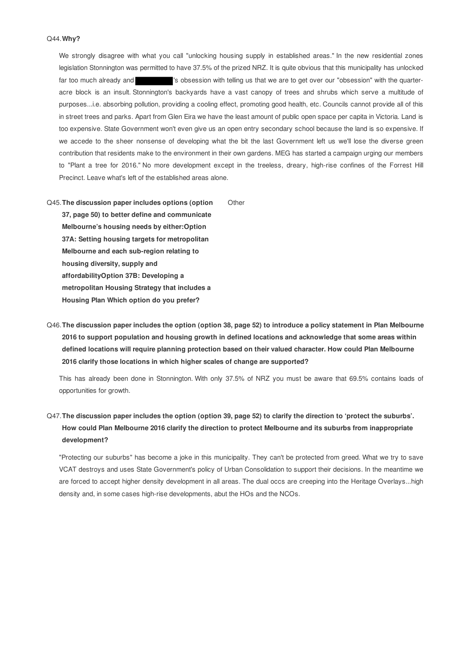We strongly disagree with what you call "unlocking housing supply in established areas." In the new residential zones legislation Stonnington was permitted to have 37.5% of the prized NRZ. It is quite obvious that this municipality has unlocked far too much already and **'s** obsession with telling us that we are to get over our "obsession" with the quarteracre block is an insult. Stonnington's backyards have a vast canopy of trees and shrubs which serve a multitude of purposes...i.e. absorbing pollution, providing a cooling effect, promoting good health, etc. Councils cannot provide all of this in street trees and parks. Apart from Glen Eira we have the least amount of public open space per capita in Victoria. Land is too expensive. State Government won't even give us an open entry secondary school because the land is so expensive. If we accede to the sheer nonsense of developing what the bit the last Government left us we'll lose the diverse green contribution that residents make to the environment in their own gardens. MEG has started a campaign urging our members to "Plant a tree for 2016." No more development except in the treeless, dreary, high-rise confines of the Forrest Hill Precinct. Leave what's left of the established areas alone.

Q45.**The discussion paper includes options (option 37, page 50) to better define and communicate Melbourne's housing needs by either:Option 37A: Setting housing targets for metropolitan Melbourne and each sub-region relating to housing diversity, supply and affordabilityOption 37B: Developing a metropolitan Housing Strategy that includes a Housing Plan Which option do you prefer? Other** 

Q46.**The discussion paper includes the option (option 38, page 52) to introduce a policy statement in Plan Melbourne 2016 to support population and housing growth in defined locations and acknowledge that some areas within defined locations will require planning protection based on their valued character. How could Plan Melbourne 2016 clarify those locations in which higher scales of change are supported?**

This has already been done in Stonnington. With only 37.5% of NRZ you must be aware that 69.5% contains loads of opportunities for growth.

# Q47.**The discussion paper includes the option (option 39, page 52) to clarify the direction to 'protect the suburbs'. How could Plan Melbourne 2016 clarify the direction to protect Melbourne and its suburbs from inappropriate development?**

"Protecting our suburbs" has become a joke in this municipality. They can't be protected from greed. What we try to save VCAT destroys and uses State Government's policy of Urban Consolidation to support their decisions. In the meantime we are forced to accept higher density development in all areas. The dual occs are creeping into the Heritage Overlays...high density and, in some cases high-rise developments, abut the HOs and the NCOs.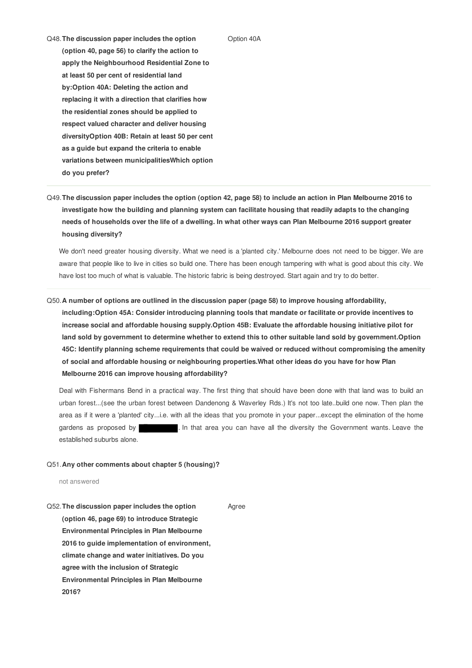Option 40A

- Q48.**The discussion paper includes the option (option 40, page 56) to clarify the action to apply the Neighbourhood Residential Zone to at least 50 per cent of residential land by:Option 40A: Deleting the action and replacing it with a direction that clarifies how the residential zones should be applied to respect valued character and deliver housing diversityOption 40B: Retain at least 50 per cent as a guide but expand the criteria to enable variations between municipalitiesWhich option do you prefer?**
- Q49.**The discussion paper includes the option (option 42, page 58) to include an action in Plan Melbourne 2016 to investigate how the building and planning system can facilitate housing that readily adapts to the changing needs of households over the life of a dwelling. In what other ways can Plan Melbourne 2016 support greater housing diversity?**

We don't need greater housing diversity. What we need is a 'planted city.' Melbourne does not need to be bigger. We are aware that people like to live in cities so build one. There has been enough tampering with what is good about this city. We have lost too much of what is valuable. The historic fabric is being destroyed. Start again and try to do better.

Q50.**A number of options are outlined in the discussion paper (page 58) to improve housing affordability, including:Option 45A: Consider introducing planning tools that mandate or facilitate or provide incentives to increase social and affordable housing supply.Option 45B: Evaluate the affordable housing initiative pilot for land sold by government to determine whether to extend this to other suitable land sold by government.Option 45C: Identify planning scheme requirements that could be waived or reduced without compromising the amenity of social and affordable housing or neighbouring properties.What other ideas do you have for how Plan Melbourne 2016 can improve housing affordability?**

Deal with Fishermans Bend in a practical way. The first thing that should have been done with that land was to build an urban forest...(see the urban forest between Dandenong & Waverley Rds.) It's not too late..build one now. Then plan the area as if it were a 'planted' city...i.e. with all the ideas that you promote in your paper...except the elimination of the home gardens as proposed by **. In that area you can have all the diversity the Government wants. Leave the** established suburbs alone.

## Q51.**Any other comments about chapter 5 (housing)?**

not answered

Q52.**The discussion paper includes the option (option 46, page 69) to introduce Strategic Environmental Principles in Plan Melbourne 2016 to guide implementation of environment, climate change and water initiatives. Do you agree with the inclusion of Strategic Environmental Principles in Plan Melbourne 2016?** Agree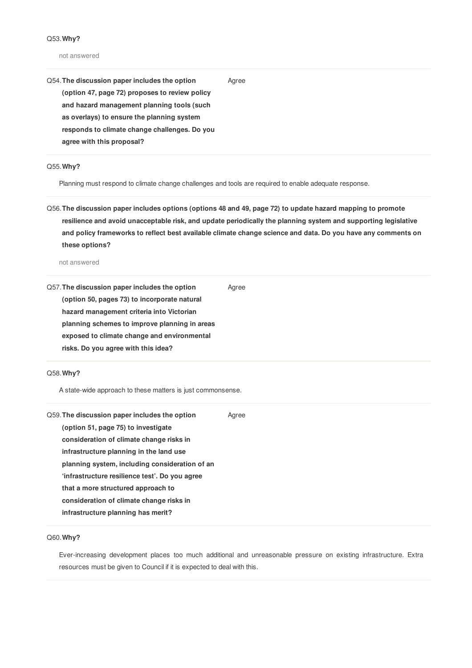#### not answered

Q54.**The discussion paper includes the option (option 47, page 72) proposes to review policy and hazard management planning tools (such as overlays) to ensure the planning system responds to climate change challenges. Do you agree with this proposal?**

Q55.**Why?**

Planning must respond to climate change challenges and tools are required to enable adequate response.

Q56. The discussion paper includes options (options 48 and 49, page 72) to update hazard mapping to promote **resilience and avoid unacceptable risk, and update periodically the planning system and supporting legislative** and policy frameworks to reflect best available climate change science and data. Do you have any comments on **these options?**

Agree

not answered

Q57.**The discussion paper includes the option (option 50, pages 73) to incorporate natural hazard management criteria into Victorian planning schemes to improve planning in areas exposed to climate change and environmental risks. Do you agree with this idea?** Agree

## Q58.**Why?**

A state-wide approach to these matters is just commonsense.

| Q59. The discussion paper includes the option  | Agree |
|------------------------------------------------|-------|
| (option 51, page 75) to investigate            |       |
| consideration of climate change risks in       |       |
| infrastructure planning in the land use        |       |
| planning system, including consideration of an |       |
| 'infrastructure resilience test'. Do you agree |       |
| that a more structured approach to             |       |
| consideration of climate change risks in       |       |
| infrastructure planning has merit?             |       |

## Q60.**Why?**

Ever-increasing development places too much additional and unreasonable pressure on existing infrastructure. Extra resources must be given to Council if it is expected to deal with this.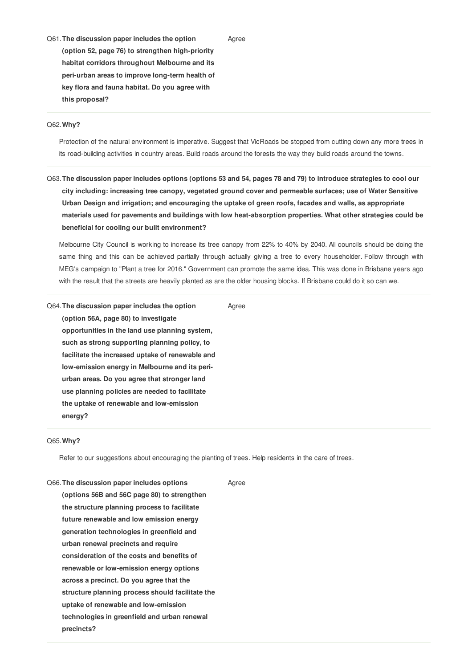Q61.**The discussion paper includes the option (option 52, page 76) to strengthen high-priority habitat corridors throughout Melbourne and its peri-urban areas to improve long-term health of key flora and fauna habitat. Do you agree with this proposal?**

## Q62.**Why?**

Protection of the natural environment is imperative. Suggest that VicRoads be stopped from cutting down any more trees in its road-building activities in country areas. Build roads around the forests the way they build roads around the towns.

Agree

Q63. The discussion paper includes options (options 53 and 54, pages 78 and 79) to introduce strategies to cool our **city including: increasing tree canopy, vegetated ground cover and permeable surfaces; use of Water Sensitive Urban Design and irrigation; and encouraging the uptake of green roofs, facades and walls, as appropriate materials used for pavements and buildings with low heat-absorption properties. What other strategies could be beneficial for cooling our built environment?**

Melbourne City Council is working to increase its tree canopy from 22% to 40% by 2040. All councils should be doing the same thing and this can be achieved partially through actually giving a tree to every householder. Follow through with MEG's campaign to "Plant a tree for 2016." Government can promote the same idea. This was done in Brisbane years ago with the result that the streets are heavily planted as are the older housing blocks. If Brisbane could do it so can we.

Q64.**The discussion paper includes the option (option 56A, page 80) to investigate opportunities in the land use planning system, such as strong supporting planning policy, to facilitate the increased uptake of renewable and low-emission energy in Melbourne and its periurban areas. Do you agree that stronger land use planning policies are needed to facilitate the uptake of renewable and low-emission energy?**

## Q65.**Why?**

Refer to our suggestions about encouraging the planting of trees. Help residents in the care of trees.

| Q66. The discussion paper includes options       | Agree |
|--------------------------------------------------|-------|
| (options 56B and 56C page 80) to strengthen      |       |
| the structure planning process to facilitate     |       |
| future renewable and low emission energy         |       |
| generation technologies in greenfield and        |       |
| urban renewal precincts and require              |       |
| consideration of the costs and benefits of       |       |
| renewable or low-emission energy options         |       |
| across a precinct. Do you agree that the         |       |
| structure planning process should facilitate the |       |
| uptake of renewable and low-emission             |       |
| technologies in greenfield and urban renewal     |       |
| precincts?                                       |       |
|                                                  |       |

Agree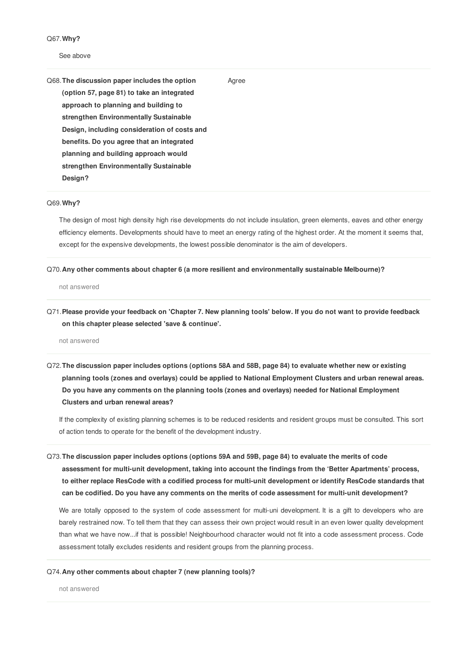Q67.**Why?**

#### See above

Q68.**The discussion paper includes the option (option 57, page 81) to take an integrated approach to planning and building to strengthen Environmentally Sustainable Design, including consideration of costs and benefits. Do you agree that an integrated planning and building approach would strengthen Environmentally Sustainable Design?**

# Agree

Q69.**Why?**

The design of most high density high rise developments do not include insulation, green elements, eaves and other energy efficiency elements. Developments should have to meet an energy rating of the highest order. At the moment it seems that, except for the expensive developments, the lowest possible denominator is the aim of developers.

## Q70.**Any other comments about chapter 6 (a more resilient and environmentally sustainable Melbourne)?**

not answered

Q71. Please provide your feedback on 'Chapter 7. New planning tools' below. If you do not want to provide feedback **on this chapter please selected 'save & continue'.**

not answered

Q72. The discussion paper includes options (options 58A and 58B, page 84) to evaluate whether new or existing **planning tools (zones and overlays) could be applied to National Employment Clusters and urban renewal areas. Do you have any comments on the planning tools (zones and overlays) needed for National Employment Clusters and urban renewal areas?**

If the complexity of existing planning schemes is to be reduced residents and resident groups must be consulted. This sort of action tends to operate for the benefit of the development industry.

Q73.**The discussion paper includes options (options 59A and 59B, page 84) to evaluate the merits of code assessment for multi-unit development, taking into account the findings from the 'Better Apartments' process, to either replace ResCode with a codified process for multi-unit development or identify ResCode standards that can be codified. Do you have any comments on the merits of code assessment for multi-unit development?**

We are totally opposed to the system of code assessment for multi-uni development. It is a gift to developers who are barely restrained now. To tell them that they can assess their own project would result in an even lower quality development than what we have now...if that is possible! Neighbourhood character would not fit into a code assessment process. Code assessment totally excludes residents and resident groups from the planning process.

#### Q74.**Any other comments about chapter 7 (new planning tools)?**

not answered